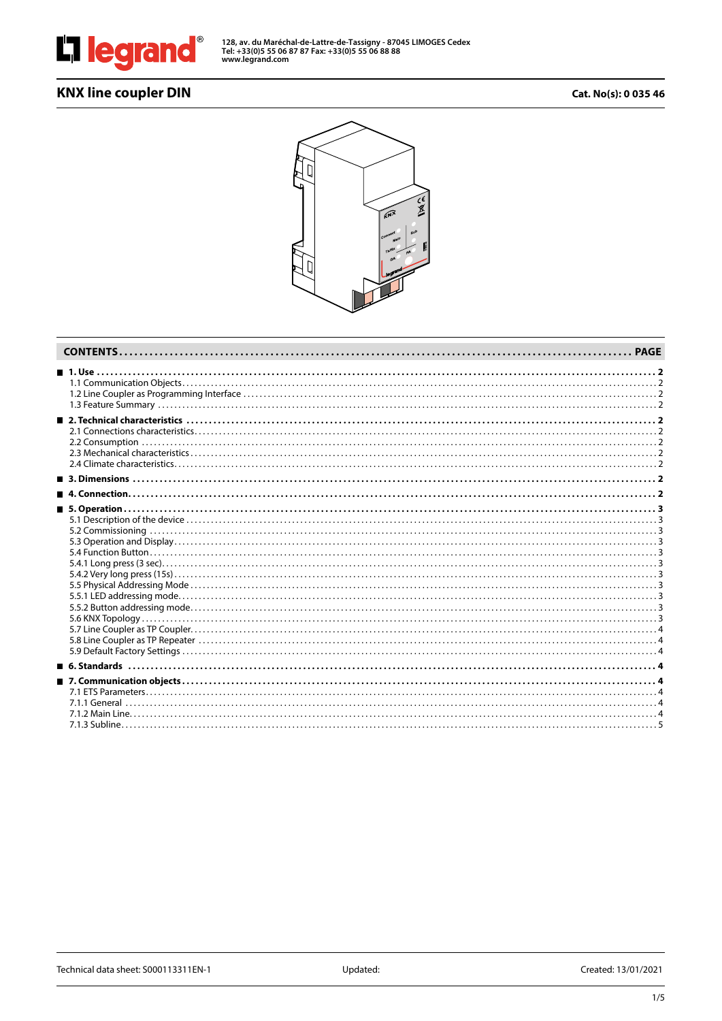

**128, av. du Maréchal-de-Lattre-de-Tassigny - 87045 LIMOGES Cedex Tel: +33(0)5 55 06 87 87 Fax: +33(0)5 55 06 88 88 www.legrand.com**

# **KNX line coupler DIN Cat. No(s): 0 035 46**

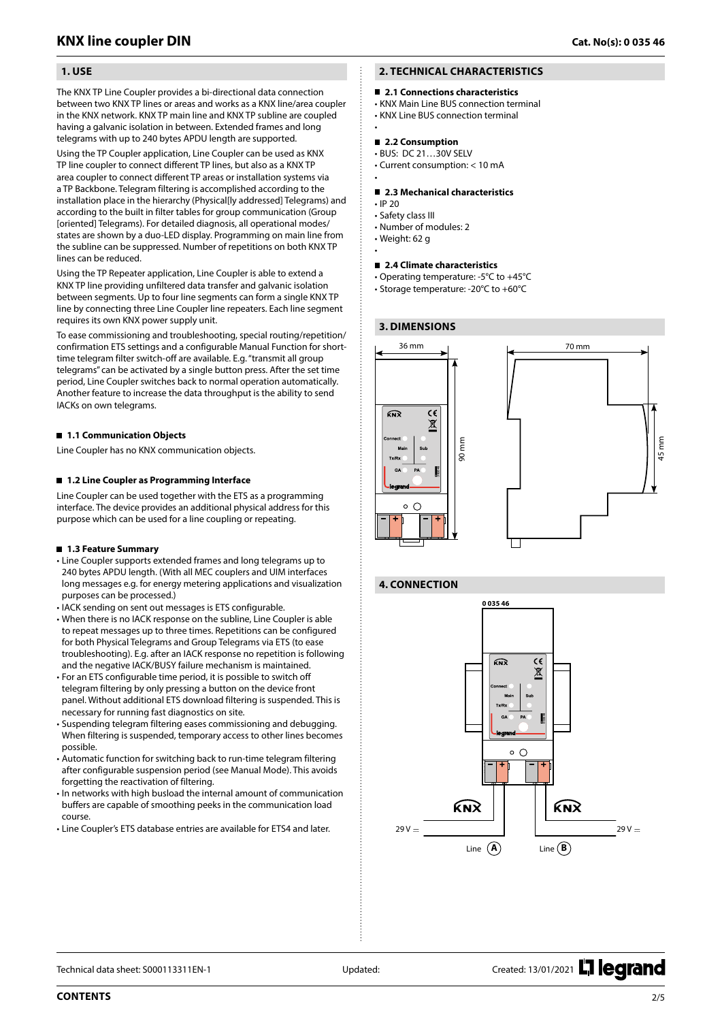# <span id="page-1-0"></span> **1. USE**

The KNX TP Line Coupler provides a bi-directional data connection between two KNX TP lines or areas and works as a KNX line/area coupler in the KNX network. KNX TP main line and KNX TP subline are coupled having a galvanic isolation in between. Extended frames and long telegrams with up to 240 bytes APDU length are supported.

Using the TP Coupler application, Line Coupler can be used as KNX TP line coupler to connect different TP lines, but also as a KNX TP area coupler to connect different TP areas or installation systems via a TP Backbone. Telegram filtering is accomplished according to the installation place in the hierarchy (Physical[ly addressed] Telegrams) and according to the built in filter tables for group communication (Group [oriented] Telegrams). For detailed diagnosis, all operational modes/ states are shown by a duo-LED display. Programming on main line from the subline can be suppressed. Number of repetitions on both KNX TP lines can be reduced.

Using the TP Repeater application, Line Coupler is able to extend a KNX TP line providing unfiltered data transfer and galvanic isolation between segments. Up to four line segments can form a single KNX TP line by connecting three Line Coupler line repeaters. Each line segment requires its own KNX power supply unit.

To ease commissioning and troubleshooting, special routing/repetition/ confirmation ETS settings and a configurable Manual Function for shorttime telegram filter switch-off are available. E.g. "transmit all group telegrams" can be activated by a single button press. After the set time period, Line Coupler switches back to normal operation automatically. Another feature to increase the data throughput is the ability to send IACKs on own telegrams.

### **1.1 Communication Objects**

Line Coupler has no KNX communication objects.

### **1.2 Line Coupler as Programming Interface**

Line Coupler can be used together with the ETS as a programming interface. The device provides an additional physical address for this purpose which can be used for a line coupling or repeating.

### **1.3 Feature Summary**

- Line Coupler supports extended frames and long telegrams up to 240 bytes APDU length. (With all MEC couplers and UIM interfaces long messages e.g. for energy metering applications and visualization purposes can be processed.)
- IACK sending on sent out messages is ETS configurable.
- When there is no IACK response on the subline, Line Coupler is able to repeat messages up to three times. Repetitions can be configured for both Physical Telegrams and Group Telegrams via ETS (to ease troubleshooting). E.g. after an IACK response no repetition is following and the negative IACK/BUSY failure mechanism is maintained.
- For an ETS configurable time period, it is possible to switch off telegram filtering by only pressing a button on the device front panel. Without additional ETS download filtering is suspended. This is necessary for running fast diagnostics on site.
- Suspending telegram filtering eases commissioning and debugging. When filtering is suspended, temporary access to other lines becomes possible.
- Automatic function for switching back to run-time telegram filtering after configurable suspension period (see Manual Mode). This avoids forgetting the reactivation of filtering.
- In networks with high busload the internal amount of communication buffers are capable of smoothing peeks in the communication load course.
- Line Coupler's ETS database entries are available for ETS4 and later.

# **2. TECHNICAL CHARACTERISTICS**

■ 2.1 Connections characteristics

• KNX Main Line BUS connection terminal • KNX Line BUS connection terminal

•

### ■ 2.2 Consumption

- BUS: DC 21…30V SELV
- Current consumption: < 10 mA •

#### **2.3 Mechanical characteristics**

- IP 20
- Safety class III
- Number of modules: 2
- Weight: 62 g •

#### **2.4 Climate characteristics**

- Operating temperature: -5°C to +45°C
- Storage temperature: -20°C to +60°C

### **3. DIMENSIONS**



### **4. CONNECTION**



Technical data sheet: S000113311EN-1 Updated: Updated: Created: 13/01/2021 | eqrand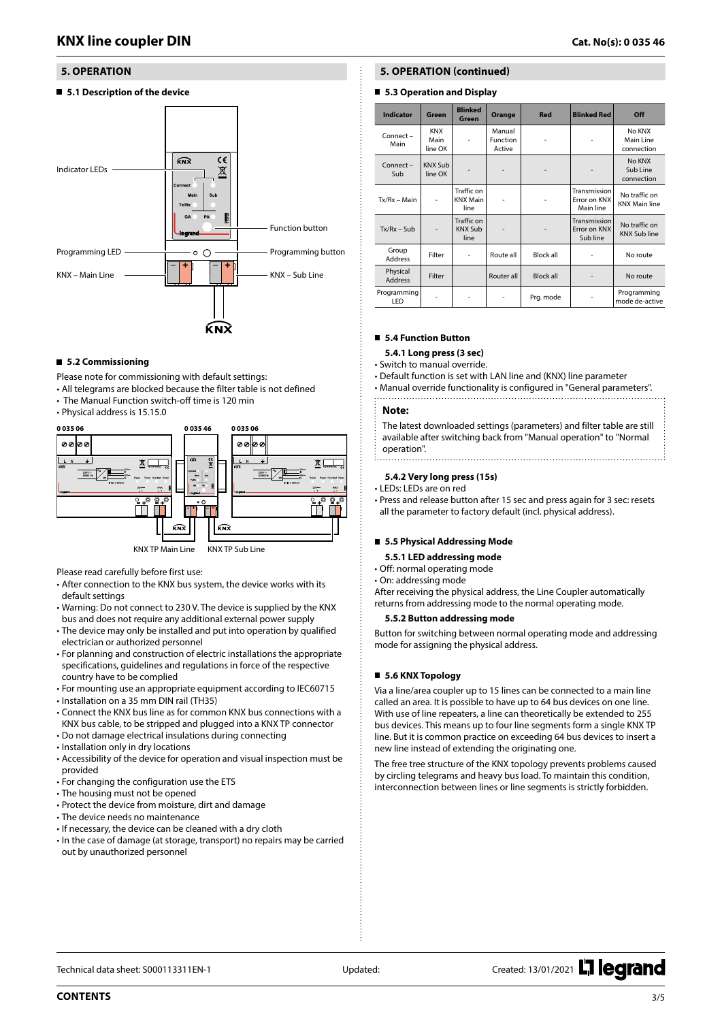# <span id="page-2-0"></span> **5. OPERATION**

**5.1 Description of the device**



#### **5.2 Commissioning**

Please note for commissioning with default settings:

- All telegrams are blocked because the filter table is not defined
- The Manual Function switch-off time is 120 min
- Physical address is 15.15.0



Please read carefully before first use:

- After connection to the KNX bus system, the device works with its default settings
- Warning: Do not connect to 230 V. The device is supplied by the KNX bus and does not require any additional external power supply
- The device may only be installed and put into operation by qualified electrician or authorized personnel
- For planning and construction of electric installations the appropriate specifications, guidelines and regulations in force of the respective country have to be complied
- For mounting use an appropriate equipment according to IEC60715
- Installation on a 35 mm DIN rail (TH35)
- Connect the KNX bus line as for common KNX bus connections with a KNX bus cable, to be stripped and plugged into a KNX TP connector
- Do not damage electrical insulations during connecting
- Installation only in dry locations
- Accessibility of the device for operation and visual inspection must be provided
- For changing the configuration use the ETS
- The housing must not be opened
- Protect the device from moisture, dirt and damage
- The device needs no maintenance
- If necessary, the device can be cleaned with a dry cloth
- In the case of damage (at storage, transport) no repairs may be carried out by unauthorized personnel

# **5. OPERATION (continued)**

### **5.3 Operation and Display**

| Indicator                  | Green                         | <b>Blinked</b><br>Green               | Orange                       | <b>Red</b>       | <b>Blinked Red</b>                        | Off                                   |
|----------------------------|-------------------------------|---------------------------------------|------------------------------|------------------|-------------------------------------------|---------------------------------------|
| $Connect -$<br>Main        | <b>KNX</b><br>Main<br>line OK |                                       | Manual<br>Function<br>Active |                  |                                           | No KNX<br>Main Line<br>connection     |
| Connect-<br>Sub            | <b>KNX Sub</b><br>line OK     |                                       |                              |                  |                                           | No KNX<br>Sub Line<br>connection      |
| $Tx/Rx - Main$             | ä,                            | Traffic on<br><b>KNX Main</b><br>line |                              |                  | Transmission<br>Error on KNX<br>Main line | No traffic on<br><b>KNX Main line</b> |
| $Tx/Rx - Sub$              | $\overline{\phantom{0}}$      | Traffic on<br><b>KNX Sub</b><br>line  |                              |                  | Transmission<br>Error on KNX<br>Sub line  | No traffic on<br><b>KNX Sub line</b>  |
| Group<br><b>Address</b>    | Filter                        | $\overline{a}$                        | Route all                    | <b>Block all</b> |                                           | No route                              |
| Physical<br><b>Address</b> | Filter                        |                                       | Router all                   | <b>Block all</b> |                                           | No route                              |
| Programming<br>LED         |                               |                                       |                              | Prg. mode        |                                           | Programming<br>mode de-active         |

# **5.4 Function Button**

- **5.4.1 Long press (3 sec)**
- Switch to manual override.
- Default function is set with LAN line and (KNX) line parameter
- Manual override functionality is configured in "General parameters".
- 

#### **Note:**

The latest downloaded settings (parameters) and filter table are still available after switching back from "Manual operation" to "Normal operation". 

#### **5.4.2 Very long press (15s)**

- LEDs: LEDs are on red
- Press and release button after 15 sec and press again for 3 sec: resets all the parameter to factory default (incl. physical address).

#### **5.5 Physical Addressing Mode**

- **5.5.1 LED addressing mode**
- Off: normal operating mode
- On: addressing mode

After receiving the physical address, the Line Coupler automatically returns from addressing mode to the normal operating mode.

#### **5.5.2 Button addressing mode**

Button for switching between normal operating mode and addressing mode for assigning the physical address.

### **5.6 KNX Topology**

Via a line/area coupler up to 15 lines can be connected to a main line called an area. It is possible to have up to 64 bus devices on one line. With use of line repeaters, a line can theoretically be extended to 255 bus devices. This means up to four line segments form a single KNX TP line. But it is common practice on exceeding 64 bus devices to insert a new line instead of extending the originating one.

The free tree structure of the KNX topology prevents problems caused by circling telegrams and heavy bus load. To maintain this condition, interconnection between lines or line segments is strictly forbidden.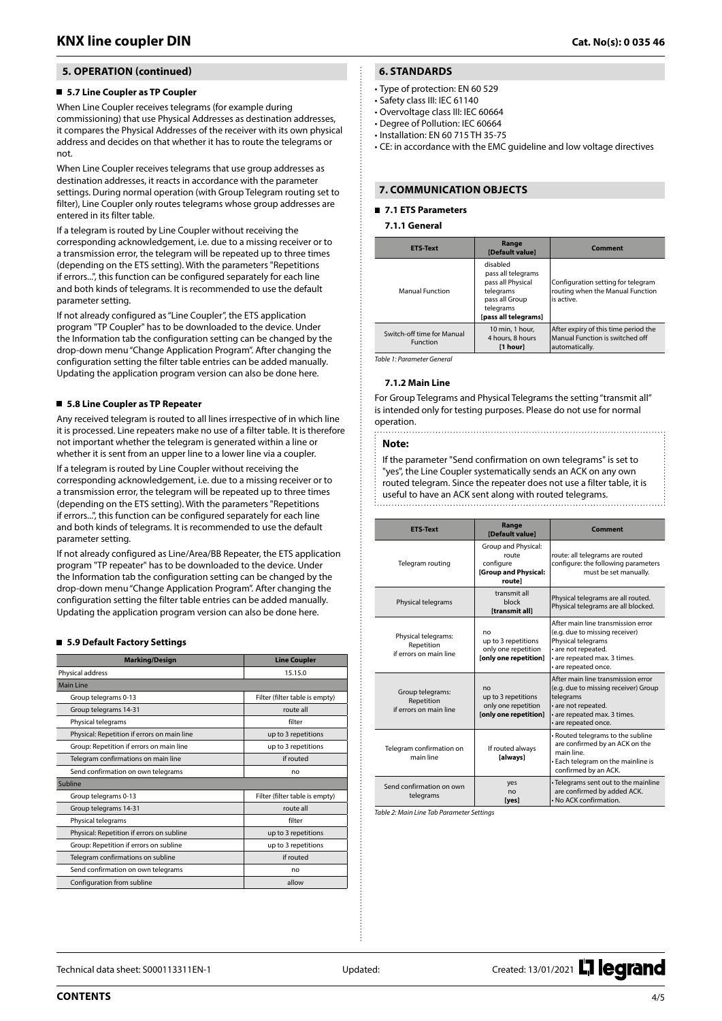# <span id="page-3-0"></span> **5. OPERATION (continued)**

### **5.7 Line Coupler as TP Coupler**

When Line Coupler receives telegrams (for example during commissioning) that use Physical Addresses as destination addresses, it compares the Physical Addresses of the receiver with its own physical address and decides on that whether it has to route the telegrams or not.

When Line Coupler receives telegrams that use group addresses as destination addresses, it reacts in accordance with the parameter settings. During normal operation (with Group Telegram routing set to filter), Line Coupler only routes telegrams whose group addresses are entered in its filter table.

If a telegram is routed by Line Coupler without receiving the corresponding acknowledgement, i.e. due to a missing receiver or to a transmission error, the telegram will be repeated up to three times (depending on the ETS setting). With the parameters "Repetitions if errors...", this function can be configured separately for each line and both kinds of telegrams. It is recommended to use the default parameter setting.

If not already configured as "Line Coupler", the ETS application program "TP Coupler" has to be downloaded to the device. Under the Information tab the configuration setting can be changed by the drop-down menu "Change Application Program". After changing the configuration setting the filter table entries can be added manually. Updating the application program version can also be done here.

#### **5.8 Line Coupler as TP Repeater**

Any received telegram is routed to all lines irrespective of in which line it is processed. Line repeaters make no use of a filter table. It is therefore not important whether the telegram is generated within a line or whether it is sent from an upper line to a lower line via a coupler.

If a telegram is routed by Line Coupler without receiving the corresponding acknowledgement, i.e. due to a missing receiver or to a transmission error, the telegram will be repeated up to three times (depending on the ETS setting). With the parameters "Repetitions if errors...", this function can be configured separately for each line and both kinds of telegrams. It is recommended to use the default parameter setting.

If not already configured as Line/Area/BB Repeater, the ETS application program "TP repeater" has to be downloaded to the device. Under the Information tab the configuration setting can be changed by the drop-down menu "Change Application Program". After changing the configuration setting the filter table entries can be added manually. Updating the application program version can also be done here.

#### **5.9 Default Factory Settings**

| <b>Marking/Design</b>                       | <b>Line Coupler</b>            |
|---------------------------------------------|--------------------------------|
| Physical address                            | 15.15.0                        |
| <b>Main Line</b>                            |                                |
| Group telegrams 0-13                        | Filter (filter table is empty) |
| Group telegrams 14-31                       | route all                      |
| Physical telegrams                          | filter                         |
| Physical: Repetition if errors on main line | up to 3 repetitions            |
| Group: Repetition if errors on main line    | up to 3 repetitions            |
| Telegram confirmations on main line         | if routed                      |
| Send confirmation on own telegrams          | no                             |
| Subline                                     |                                |
| Group telegrams 0-13                        | Filter (filter table is empty) |
| Group telegrams 14-31                       | route all                      |
| Physical telegrams                          | filter                         |
| Physical: Repetition if errors on subline   | up to 3 repetitions            |
| Group: Repetition if errors on subline      | up to 3 repetitions            |
| Telegram confirmations on subline           | if routed                      |
| Send confirmation on own telegrams          | no                             |
| Configuration from subline                  | allow                          |

# **6. STANDARDS**

- Type of protection: EN 60 529
- Safety class III: IEC 61140
- Overvoltage class III: IEC 60664
- Degree of Pollution: IEC 60664
- Installation: EN 60 715 TH 35-75

• CE: in accordance with the EMC guideline and low voltage directives

### **7. COMMUNICATION OBJECTS**

### **7.1 ETS Parameters**

#### **7.1.1 General**

| <b>ETS-Text</b>                        | Range<br>[Default value]                                                                                                | Comment                                                                                   |  |
|----------------------------------------|-------------------------------------------------------------------------------------------------------------------------|-------------------------------------------------------------------------------------------|--|
| Manual Function                        | disabled<br>pass all telegrams<br>pass all Physical<br>telegrams<br>pass all Group<br>telegrams<br>[pass all telegrams] | Configuration setting for telegram<br>routing when the Manual Function<br>is active.      |  |
| Switch-off time for Manual<br>Function | 10 min. 1 hour.<br>4 hours, 8 hours<br>[1 hour]                                                                         | After expiry of this time period the<br>Manual Function is switched off<br>automatically. |  |

*Table 1: Parameter General*

#### **7.1.2 Main Line**

For Group Telegrams and Physical Telegrams the setting "transmit all" is intended only for testing purposes. Please do not use for normal operation. 

#### **Note:**

If the parameter "Send confirmation on own telegrams" is set to "yes", the Line Coupler systematically sends an ACK on any own routed telegram. Since the repeater does not use a filter table, it is useful to have an ACK sent along with routed telegrams.

| <b>ETS-Text</b>                                             | Range<br>[Default value]                                                    | Comment                                                                                                                                                                   |
|-------------------------------------------------------------|-----------------------------------------------------------------------------|---------------------------------------------------------------------------------------------------------------------------------------------------------------------------|
| Telegram routing                                            | Group and Physical:<br>route<br>configure<br>[Group and Physical:<br>routel | route: all telegrams are routed<br>configure: the following parameters<br>must be set manually.                                                                           |
| Physical telegrams                                          | transmit all<br>block<br><b>Itransmit all1</b>                              | Physical telegrams are all routed.<br>Physical telegrams are all blocked.                                                                                                 |
| Physical telegrams:<br>Repetition<br>if errors on main line | no<br>up to 3 repetitions<br>only one repetition<br>[only one repetition]   | After main line transmission error<br>(e.g. due to missing receiver)<br>Physical telegrams<br>· are not repeated.<br>· are repeated max. 3 times.<br>· are repeated once. |
| Group telegrams:<br>Repetition<br>if errors on main line    | no<br>up to 3 repetitions<br>only one repetition<br>[only one repetition]   | After main line transmission error<br>(e.g. due to missing receiver) Group<br>telegrams<br>· are not repeated.<br>• are repeated max. 3 times.<br>• are repeated once.    |
| Telegram confirmation on<br>main line                       | If routed always<br>[always]                                                | • Routed telegrams to the subline<br>are confirmed by an ACK on the<br>main line<br>• Each telegram on the mainline is<br>confirmed by an ACK.                            |
| Send confirmation on own<br>telegrams                       | yes<br>no<br>[yes]                                                          | • Telegrams sent out to the mainline<br>are confirmed by added ACK.<br>• No ACK confirmation.                                                                             |

*Table 2: Main Line Tab Parameter Settings*